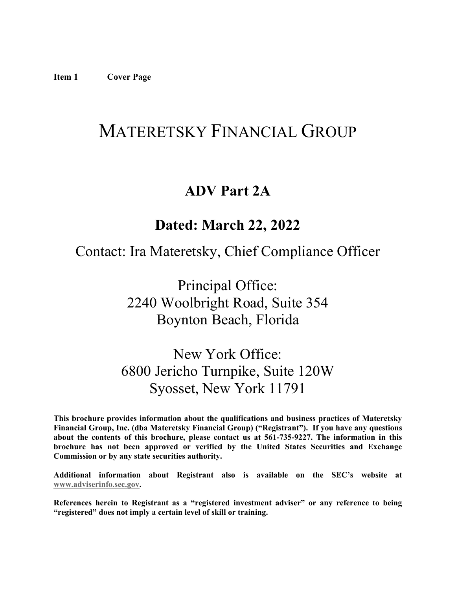# <span id="page-0-0"></span>MATERETSKY FINANCIAL GROUP

# **ADV Part 2A**

# **Dated: March 22, 2022**

# Contact: Ira Materetsky, Chief Compliance Officer

Principal Office: 2240 Woolbright Road, Suite 354 Boynton Beach, Florida

New York Office: 6800 Jericho Turnpike, Suite 120W Syosset, New York 11791

**This brochure provides information about the qualifications and business practices of Materetsky Financial Group, Inc. (dba Materetsky Financial Group) ("Registrant"). If you have any questions about the contents of this brochure, please contact us at 561-735-9227. The information in this brochure has not been approved or verified by the United States Securities and Exchange Commission or by any state securities authority.**

**Additional information about Registrant also is available on the SEC's website at [www.adviserinfo.sec.gov.](http://www.adviserinfo.sec.gov/)**

**References herein to Registrant as a "registered investment adviser" or any reference to being "registered" does not imply a certain level of skill or training.**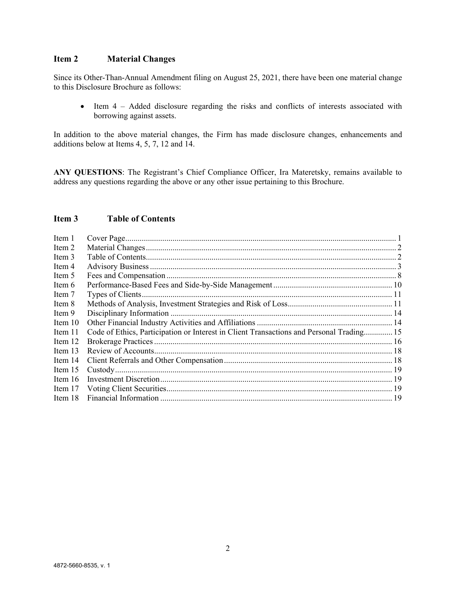# <span id="page-1-0"></span>**Item 2 Material Changes**

Since its Other-Than-Annual Amendment filing on August 25, 2021, there have been one material change to this Disclosure Brochure as follows:

• Item 4 – Added disclosure regarding the risks and conflicts of interests associated with borrowing against assets.

In addition to the above material changes, the Firm has made disclosure changes, enhancements and additions below at Items 4, 5, 7, 12 and 14.

**ANY QUESTIONS**: The Registrant's Chief Compliance Officer, Ira Materetsky, remains available to address any questions regarding the above or any other issue pertaining to this Brochure.

# <span id="page-1-1"></span>**Item 3 Table of Contents**

| Item 1    |                                                                                          |  |
|-----------|------------------------------------------------------------------------------------------|--|
| Item 2    |                                                                                          |  |
| Item 3    |                                                                                          |  |
| Item 4    |                                                                                          |  |
| Item 5    |                                                                                          |  |
| Item 6    |                                                                                          |  |
| Item 7    |                                                                                          |  |
| Item 8    |                                                                                          |  |
| Item 9    |                                                                                          |  |
| Item $10$ |                                                                                          |  |
| Item 11   | Code of Ethics, Participation or Interest in Client Transactions and Personal Trading 15 |  |
| Item 12   |                                                                                          |  |
| Item 13   |                                                                                          |  |
| Item 14   |                                                                                          |  |
| Item $15$ |                                                                                          |  |
| Item 16   |                                                                                          |  |
| Item 17   |                                                                                          |  |
| Item 18   |                                                                                          |  |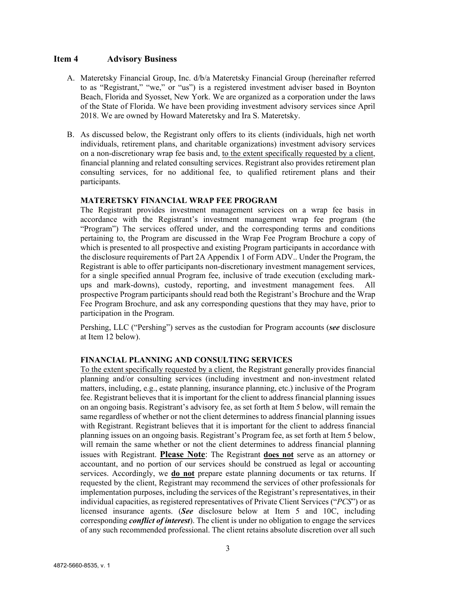#### <span id="page-2-0"></span>**Item 4 Advisory Business**

- A. Materetsky Financial Group, Inc. d/b/a Materetsky Financial Group (hereinafter referred to as "Registrant," "we," or "us") is a registered investment adviser based in Boynton Beach, Florida and Syosset, New York. We are organized as a corporation under the laws of the State of Florida. We have been providing investment advisory services since April 2018. We are owned by Howard Materetsky and Ira S. Materetsky.
- B. As discussed below, the Registrant only offers to its clients (individuals, high net worth individuals, retirement plans, and charitable organizations) investment advisory services on a non-discretionary wrap fee basis and, to the extent specifically requested by a client, financial planning and related consulting services. Registrant also provides retirement plan consulting services, for no additional fee, to qualified retirement plans and their participants.

#### **MATERETSKY FINANCIAL WRAP FEE PROGRAM**

The Registrant provides investment management services on a wrap fee basis in accordance with the Registrant's investment management wrap fee program (the "Program") The services offered under, and the corresponding terms and conditions pertaining to, the Program are discussed in the Wrap Fee Program Brochure a copy of which is presented to all prospective and existing Program participants in accordance with the disclosure requirements of Part 2A Appendix 1 of Form ADV.. Under the Program, the Registrant is able to offer participants non-discretionary investment management services, for a single specified annual Program fee, inclusive of trade execution (excluding markups and mark-downs), custody, reporting, and investment management fees. All prospective Program participants should read both the Registrant's Brochure and the Wrap Fee Program Brochure, and ask any corresponding questions that they may have, prior to participation in the Program.

Pershing, LLC ("Pershing") serves as the custodian for Program accounts (*see* disclosure at Item 12 below).

#### **FINANCIAL PLANNING AND CONSULTING SERVICES**

To the extent specifically requested by a client, the Registrant generally provides financial planning and/or consulting services (including investment and non-investment related matters, including, e.g., estate planning, insurance planning, etc.) inclusive of the Program fee. Registrant believes that it is important for the client to address financial planning issues on an ongoing basis. Registrant's advisory fee, as set forth at Item 5 below, will remain the same regardless of whether or not the client determines to address financial planning issues with Registrant. Registrant believes that it is important for the client to address financial planning issues on an ongoing basis. Registrant's Program fee, as set forth at Item 5 below, will remain the same whether or not the client determines to address financial planning issues with Registrant. **Please Note**: The Registrant **does not** serve as an attorney or accountant, and no portion of our services should be construed as legal or accounting services. Accordingly, we **do not** prepare estate planning documents or tax returns. If requested by the client, Registrant may recommend the services of other professionals for implementation purposes, including the services of the Registrant's representatives, in their individual capacities, as registered representatives of Private Client Services ("*PCS*") or as licensed insurance agents. (*See* disclosure below at Item 5 and 10C, including corresponding *conflict of interest*). The client is under no obligation to engage the services of any such recommended professional. The client retains absolute discretion over all such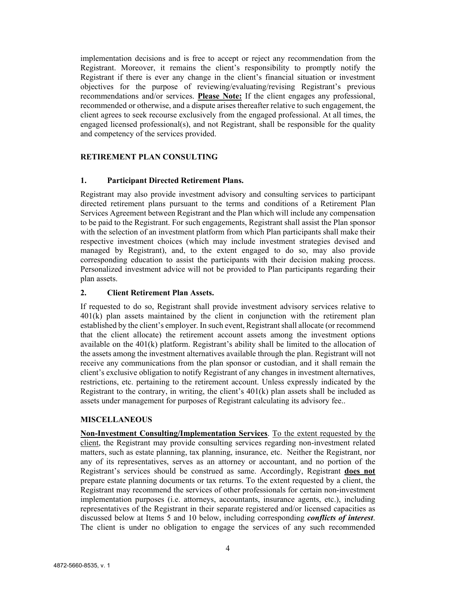implementation decisions and is free to accept or reject any recommendation from the Registrant. Moreover, it remains the client's responsibility to promptly notify the Registrant if there is ever any change in the client's financial situation or investment objectives for the purpose of reviewing/evaluating/revising Registrant's previous recommendations and/or services. **Please Note:** If the client engages any professional, recommended or otherwise, and a dispute arises thereafter relative to such engagement, the client agrees to seek recourse exclusively from the engaged professional. At all times, the engaged licensed professional(s), and not Registrant, shall be responsible for the quality and competency of the services provided.

# **RETIREMENT PLAN CONSULTING**

#### **1. Participant Directed Retirement Plans.**

Registrant may also provide investment advisory and consulting services to participant directed retirement plans pursuant to the terms and conditions of a Retirement Plan Services Agreement between Registrant and the Plan which will include any compensation to be paid to the Registrant. For such engagements, Registrant shall assist the Plan sponsor with the selection of an investment platform from which Plan participants shall make their respective investment choices (which may include investment strategies devised and managed by Registrant), and, to the extent engaged to do so, may also provide corresponding education to assist the participants with their decision making process. Personalized investment advice will not be provided to Plan participants regarding their plan assets.

#### **2. Client Retirement Plan Assets.**

If requested to do so, Registrant shall provide investment advisory services relative to 401(k) plan assets maintained by the client in conjunction with the retirement plan established by the client's employer. In such event, Registrant shall allocate (or recommend that the client allocate) the retirement account assets among the investment options available on the  $401(k)$  platform. Registrant's ability shall be limited to the allocation of the assets among the investment alternatives available through the plan. Registrant will not receive any communications from the plan sponsor or custodian, and it shall remain the client's exclusive obligation to notify Registrant of any changes in investment alternatives, restrictions, etc. pertaining to the retirement account. Unless expressly indicated by the Registrant to the contrary, in writing, the client's 401(k) plan assets shall be included as assets under management for purposes of Registrant calculating its advisory fee..

#### **MISCELLANEOUS**

**Non-Investment Consulting/Implementation Services**. To the extent requested by the client, the Registrant may provide consulting services regarding non-investment related matters, such as estate planning, tax planning, insurance, etc. Neither the Registrant, nor any of its representatives, serves as an attorney or accountant, and no portion of the Registrant's services should be construed as same. Accordingly, Registrant **does not** prepare estate planning documents or tax returns. To the extent requested by a client, the Registrant may recommend the services of other professionals for certain non-investment implementation purposes (i.e. attorneys, accountants, insurance agents, etc.), including representatives of the Registrant in their separate registered and/or licensed capacities as discussed below at Items 5 and 10 below, including corresponding *conflicts of interest*. The client is under no obligation to engage the services of any such recommended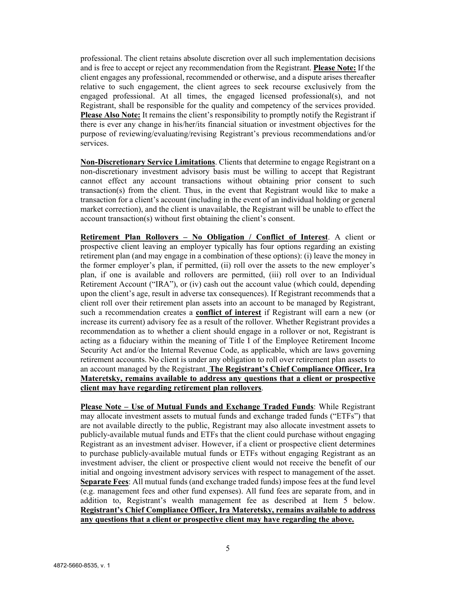professional. The client retains absolute discretion over all such implementation decisions and is free to accept or reject any recommendation from the Registrant. **Please Note:** If the client engages any professional, recommended or otherwise, and a dispute arises thereafter relative to such engagement, the client agrees to seek recourse exclusively from the engaged professional. At all times, the engaged licensed professional(s), and not Registrant, shall be responsible for the quality and competency of the services provided. **Please Also Note:** It remains the client's responsibility to promptly notify the Registrant if there is ever any change in his/her/its financial situation or investment objectives for the purpose of reviewing/evaluating/revising Registrant's previous recommendations and/or services.

**Non-Discretionary Service Limitations**. Clients that determine to engage Registrant on a non-discretionary investment advisory basis must be willing to accept that Registrant cannot effect any account transactions without obtaining prior consent to such transaction(s) from the client. Thus, in the event that Registrant would like to make a transaction for a client's account (including in the event of an individual holding or general market correction), and the client is unavailable, the Registrant will be unable to effect the account transaction(s) without first obtaining the client's consent.

**Retirement Plan Rollovers – No Obligation / Conflict of Interest**. A client or prospective client leaving an employer typically has four options regarding an existing retirement plan (and may engage in a combination of these options): (i) leave the money in the former employer's plan, if permitted, (ii) roll over the assets to the new employer's plan, if one is available and rollovers are permitted, (iii) roll over to an Individual Retirement Account ("IRA"), or (iv) cash out the account value (which could, depending upon the client's age, result in adverse tax consequences). If Registrant recommends that a client roll over their retirement plan assets into an account to be managed by Registrant, such a recommendation creates a **conflict of interest** if Registrant will earn a new (or increase its current) advisory fee as a result of the rollover. Whether Registrant provides a recommendation as to whether a client should engage in a rollover or not, Registrant is acting as a fiduciary within the meaning of Title I of the Employee Retirement Income Security Act and/or the Internal Revenue Code, as applicable, which are laws governing retirement accounts. No client is under any obligation to roll over retirement plan assets to an account managed by the Registrant. **The Registrant's Chief Compliance Officer, Ira Materetsky, remains available to address any questions that a client or prospective client may have regarding retirement plan rollovers**.

**Please Note – Use of Mutual Funds and Exchange Traded Funds**: While Registrant may allocate investment assets to mutual funds and exchange traded funds ("ETFs") that are not available directly to the public, Registrant may also allocate investment assets to publicly-available mutual funds and ETFs that the client could purchase without engaging Registrant as an investment adviser. However, if a client or prospective client determines to purchase publicly-available mutual funds or ETFs without engaging Registrant as an investment adviser, the client or prospective client would not receive the benefit of our initial and ongoing investment advisory services with respect to management of the asset. **Separate Fees**: All mutual funds (and exchange traded funds) impose fees at the fund level (e.g. management fees and other fund expenses). All fund fees are separate from, and in addition to, Registrant's wealth management fee as described at Item 5 below. **Registrant's Chief Compliance Officer, Ira Materetsky, remains available to address any questions that a client or prospective client may have regarding the above.**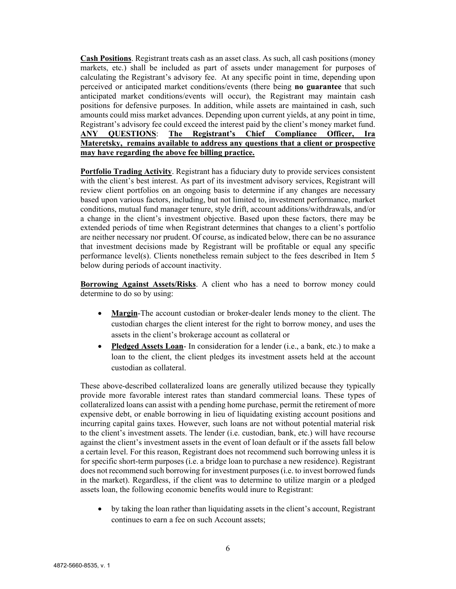**Cash Positions**. Registrant treats cash as an asset class. As such, all cash positions (money markets, etc.) shall be included as part of assets under management for purposes of calculating the Registrant's advisory fee. At any specific point in time, depending upon perceived or anticipated market conditions/events (there being **no guarantee** that such anticipated market conditions/events will occur), the Registrant may maintain cash positions for defensive purposes. In addition, while assets are maintained in cash, such amounts could miss market advances. Depending upon current yields, at any point in time, Registrant's advisory fee could exceed the interest paid by the client's money market fund. **ANY QUESTIONS**: **The Registrant's Chief Compliance Officer, Ira Materetsky, remains available to address any questions that a client or prospective may have regarding the above fee billing practice.**

**Portfolio Trading Activity**. Registrant has a fiduciary duty to provide services consistent with the client's best interest. As part of its investment advisory services, Registrant will review client portfolios on an ongoing basis to determine if any changes are necessary based upon various factors, including, but not limited to, investment performance, market conditions, mutual fund manager tenure, style drift, account additions/withdrawals, and/or a change in the client's investment objective. Based upon these factors, there may be extended periods of time when Registrant determines that changes to a client's portfolio are neither necessary nor prudent. Of course, as indicated below, there can be no assurance that investment decisions made by Registrant will be profitable or equal any specific performance level(s). Clients nonetheless remain subject to the fees described in Item 5 below during periods of account inactivity.

**Borrowing Against Assets/Risks**. A client who has a need to borrow money could determine to do so by using:

- **Margin**-The account custodian or broker-dealer lends money to the client. The custodian charges the client interest for the right to borrow money, and uses the assets in the client's brokerage account as collateral or
- **Pledged Assets Loan** In consideration for a lender (i.e., a bank, etc.) to make a loan to the client, the client pledges its investment assets held at the account custodian as collateral.

These above-described collateralized loans are generally utilized because they typically provide more favorable interest rates than standard commercial loans. These types of collateralized loans can assist with a pending home purchase, permit the retirement of more expensive debt, or enable borrowing in lieu of liquidating existing account positions and incurring capital gains taxes. However, such loans are not without potential material risk to the client's investment assets. The lender (i.e. custodian, bank, etc.) will have recourse against the client's investment assets in the event of loan default or if the assets fall below a certain level. For this reason, Registrant does not recommend such borrowing unless it is for specific short-term purposes (i.e. a bridge loan to purchase a new residence). Registrant does not recommend such borrowing for investment purposes (i.e. to invest borrowed funds in the market). Regardless, if the client was to determine to utilize margin or a pledged assets loan, the following economic benefits would inure to Registrant:

• by taking the loan rather than liquidating assets in the client's account, Registrant continues to earn a fee on such Account assets;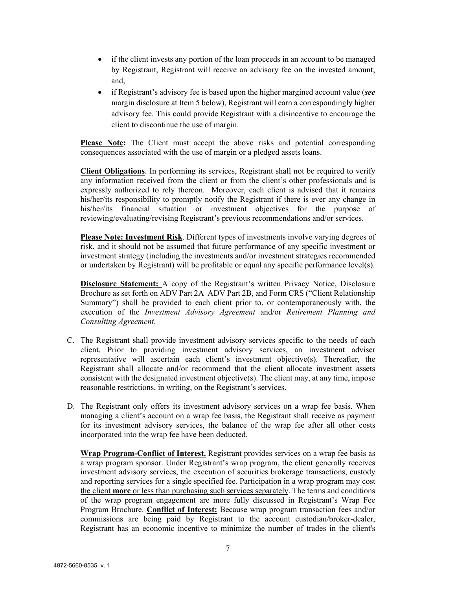- if the client invests any portion of the loan proceeds in an account to be managed by Registrant, Registrant will receive an advisory fee on the invested amount; and,
- if Registrant's advisory fee is based upon the higher margined account value (*see* margin disclosure at Item 5 below), Registrant will earn a correspondingly higher advisory fee. This could provide Registrant with a disincentive to encourage the client to discontinue the use of margin.

Please Note: The Client must accept the above risks and potential corresponding consequences associated with the use of margin or a pledged assets loans.

**Client Obligations**. In performing its services, Registrant shall not be required to verify any information received from the client or from the client's other professionals and is expressly authorized to rely thereon. Moreover, each client is advised that it remains his/her/its responsibility to promptly notify the Registrant if there is ever any change in his/her/its financial situation or investment objectives for the purpose of reviewing/evaluating/revising Registrant's previous recommendations and/or services.

**Please Note: Investment Risk**. Different types of investments involve varying degrees of risk, and it should not be assumed that future performance of any specific investment or investment strategy (including the investments and/or investment strategies recommended or undertaken by Registrant) will be profitable or equal any specific performance level(s).

**Disclosure Statement:** A copy of the Registrant's written Privacy Notice, Disclosure Brochure as set forth on ADV Part 2A ADV Part 2B, and Form CRS ("Client Relationship Summary") shall be provided to each client prior to, or contemporaneously with, the execution of the *Investment Advisory Agreement* and/or *Retirement Planning and Consulting Agreement*.

- C. The Registrant shall provide investment advisory services specific to the needs of each client. Prior to providing investment advisory services, an investment adviser representative will ascertain each client's investment objective(s). Thereafter, the Registrant shall allocate and/or recommend that the client allocate investment assets consistent with the designated investment objective(s). The client may, at any time, impose reasonable restrictions, in writing, on the Registrant's services.
- D. The Registrant only offers its investment advisory services on a wrap fee basis. When managing a client's account on a wrap fee basis, the Registrant shall receive as payment for its investment advisory services, the balance of the wrap fee after all other costs incorporated into the wrap fee have been deducted.

**Wrap Program-Conflict of Interest.** Registrant provides services on a wrap fee basis as a wrap program sponsor. Under Registrant's wrap program, the client generally receives investment advisory services, the execution of securities brokerage transactions, custody and reporting services for a single specified fee. Participation in a wrap program may cost the client **more** or less than purchasing such services separately. The terms and conditions of the wrap program engagement are more fully discussed in Registrant's Wrap Fee Program Brochure. **Conflict of Interest:** Because wrap program transaction fees and/or commissions are being paid by Registrant to the account custodian/broker-dealer, Registrant has an economic incentive to minimize the number of trades in the client's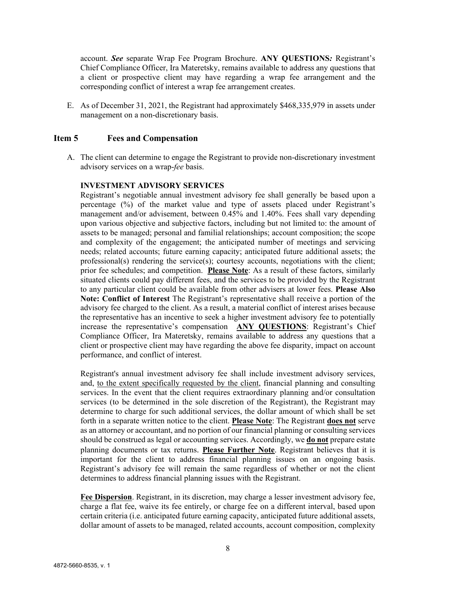account. *See* separate Wrap Fee Program Brochure. **ANY QUESTIONS***:* Registrant's Chief Compliance Officer, Ira Materetsky, remains available to address any questions that a client or prospective client may have regarding a wrap fee arrangement and the corresponding conflict of interest a wrap fee arrangement creates.

E. As of December 31, 2021, the Registrant had approximately \$468,335,979 in assets under management on a non-discretionary basis.

#### <span id="page-7-0"></span>**Item 5 Fees and Compensation**

A. The client can determine to engage the Registrant to provide non-discretionary investment advisory services on a wrap-*fee* basis.

#### **INVESTMENT ADVISORY SERVICES**

Registrant's negotiable annual investment advisory fee shall generally be based upon a percentage (%) of the market value and type of assets placed under Registrant's management and/or advisement, between 0.45% and 1.40%. Fees shall vary depending upon various objective and subjective factors, including but not limited to: the amount of assets to be managed; personal and familial relationships; account composition; the scope and complexity of the engagement; the anticipated number of meetings and servicing needs; related accounts; future earning capacity; anticipated future additional assets; the professional(s) rendering the service(s); courtesy accounts, negotiations with the client; prior fee schedules; and competition. **Please Note**: As a result of these factors, similarly situated clients could pay different fees, and the services to be provided by the Registrant to any particular client could be available from other advisers at lower fees. **Please Also Note: Conflict of Interest** The Registrant's representative shall receive a portion of the advisory fee charged to the client. As a result, a material conflict of interest arises because the representative has an incentive to seek a higher investment advisory fee to potentially increase the representative's compensation **ANY QUESTIONS**: Registrant's Chief Compliance Officer, Ira Materetsky, remains available to address any questions that a client or prospective client may have regarding the above fee disparity, impact on account performance, and conflict of interest.

Registrant's annual investment advisory fee shall include investment advisory services, and, to the extent specifically requested by the client, financial planning and consulting services. In the event that the client requires extraordinary planning and/or consultation services (to be determined in the sole discretion of the Registrant), the Registrant may determine to charge for such additional services, the dollar amount of which shall be set forth in a separate written notice to the client. **Please Note**: The Registrant **does not** serve as an attorney or accountant, and no portion of our financial planning or consulting services should be construed as legal or accounting services. Accordingly, we **do not** prepare estate planning documents or tax returns. **Please Further Note**. Registrant believes that it is important for the client to address financial planning issues on an ongoing basis. Registrant's advisory fee will remain the same regardless of whether or not the client determines to address financial planning issues with the Registrant.

**Fee Dispersion**. Registrant, in its discretion, may charge a lesser investment advisory fee, charge a flat fee, waive its fee entirely, or charge fee on a different interval, based upon certain criteria (i.e. anticipated future earning capacity, anticipated future additional assets, dollar amount of assets to be managed, related accounts, account composition, complexity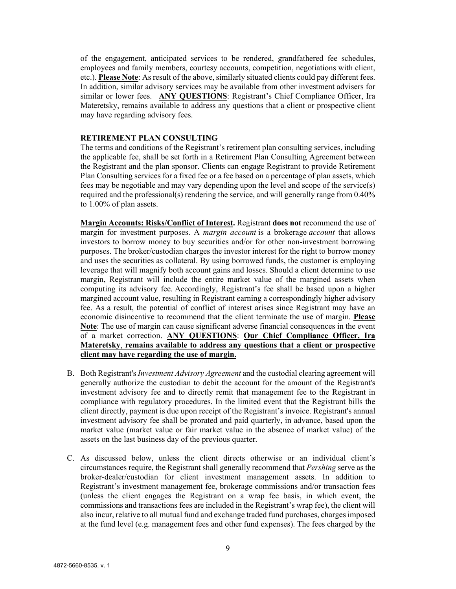of the engagement, anticipated services to be rendered, grandfathered fee schedules, employees and family members, courtesy accounts, competition, negotiations with client, etc.). **Please Note**: As result of the above, similarly situated clients could pay different fees. In addition, similar advisory services may be available from other investment advisers for similar or lower fees. **ANY QUESTIONS**: Registrant's Chief Compliance Officer, Ira Materetsky, remains available to address any questions that a client or prospective client may have regarding advisory fees.

#### **RETIREMENT PLAN CONSULTING**

The terms and conditions of the Registrant's retirement plan consulting services, including the applicable fee, shall be set forth in a Retirement Plan Consulting Agreement between the Registrant and the plan sponsor. Clients can engage Registrant to provide Retirement Plan Consulting services for a fixed fee or a fee based on a percentage of plan assets, which fees may be negotiable and may vary depending upon the level and scope of the service(s) required and the professional(s) rendering the service, and will generally range from  $0.40\%$ to 1.00% of plan assets.

**Margin Accounts: Risks/Conflict of Interest.** Registrant **does not** recommend the use of margin for investment purposes. A *margin account* is a brokerage *account* that allows investors to borrow money to buy securities and/or for other non-investment borrowing purposes. The broker/custodian charges the investor interest for the right to borrow money and uses the securities as collateral. By using borrowed funds, the customer is employing leverage that will magnify both account gains and losses. Should a client determine to use margin, Registrant will include the entire market value of the margined assets when computing its advisory fee. Accordingly, Registrant's fee shall be based upon a higher margined account value, resulting in Registrant earning a correspondingly higher advisory fee. As a result, the potential of conflict of interest arises since Registrant may have an economic disincentive to recommend that the client terminate the use of margin. **Please Note**: The use of margin can cause significant adverse financial consequences in the event of a market correction. **ANY QUESTIONS**: **Our Chief Compliance Officer, Ira Materetsky**, **remains available to address any questions that a client or prospective client may have regarding the use of margin.**

- B. Both Registrant's *Investment Advisory Agreement* and the custodial clearing agreement will generally authorize the custodian to debit the account for the amount of the Registrant's investment advisory fee and to directly remit that management fee to the Registrant in compliance with regulatory procedures. In the limited event that the Registrant bills the client directly, payment is due upon receipt of the Registrant's invoice. Registrant's annual investment advisory fee shall be prorated and paid quarterly, in advance, based upon the market value (market value or fair market value in the absence of market value) of the assets on the last business day of the previous quarter.
- C. As discussed below, unless the client directs otherwise or an individual client's circumstances require, the Registrant shall generally recommend that *Pershing* serve as the broker-dealer/custodian for client investment management assets. In addition to Registrant's investment management fee, brokerage commissions and/or transaction fees (unless the client engages the Registrant on a wrap fee basis, in which event, the commissions and transactions fees are included in the Registrant's wrap fee), the client will also incur, relative to all mutual fund and exchange traded fund purchases, charges imposed at the fund level (e.g. management fees and other fund expenses). The fees charged by the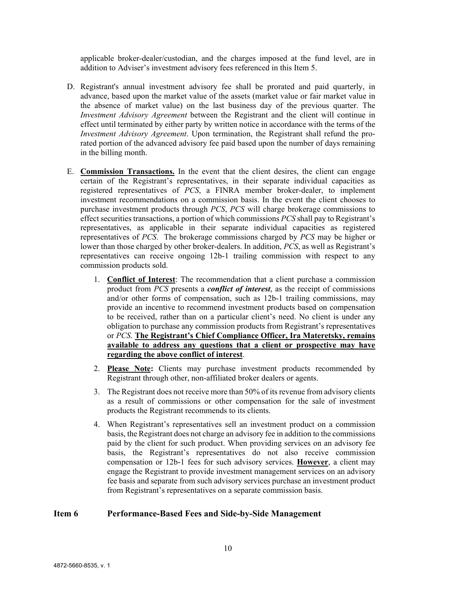applicable broker-dealer/custodian, and the charges imposed at the fund level, are in addition to Adviser's investment advisory fees referenced in this Item 5.

- D. Registrant's annual investment advisory fee shall be prorated and paid quarterly, in advance, based upon the market value of the assets (market value or fair market value in the absence of market value) on the last business day of the previous quarter. The *Investment Advisory Agreement* between the Registrant and the client will continue in effect until terminated by either party by written notice in accordance with the terms of the *Investment Advisory Agreement*. Upon termination, the Registrant shall refund the prorated portion of the advanced advisory fee paid based upon the number of days remaining in the billing month.
- E. **Commission Transactions.** In the event that the client desires, the client can engage certain of the Registrant's representatives, in their separate individual capacities as registered representatives of *PCS*, a FINRA member broker-dealer, to implement investment recommendations on a commission basis. In the event the client chooses to purchase investment products through *PCS*, *PCS* will charge brokerage commissions to effect securities transactions, a portion of which commissions *PCS* shall pay to Registrant's representatives, as applicable in their separate individual capacities as registered representatives of *PCS*. The brokerage commissions charged by *PCS* may be higher or lower than those charged by other broker-dealers. In addition, *PCS*, as well as Registrant's representatives can receive ongoing 12b-1 trailing commission with respect to any commission products sold.
	- 1. **Conflict of Interest**: The recommendation that a client purchase a commission product from *PCS* presents a *conflict of interest*, as the receipt of commissions and/or other forms of compensation, such as 12b-1 trailing commissions, may provide an incentive to recommend investment products based on compensation to be received, rather than on a particular client's need. No client is under any obligation to purchase any commission products from Registrant's representatives or *PCS*. **The Registrant's Chief Compliance Officer, Ira Materetsky, remains available to address any questions that a client or prospective may have regarding the above conflict of interest**.
	- 2. **Please Note:** Clients may purchase investment products recommended by Registrant through other, non-affiliated broker dealers or agents.
	- 3. The Registrant does not receive more than 50% of its revenue from advisory clients as a result of commissions or other compensation for the sale of investment products the Registrant recommends to its clients.
	- 4. When Registrant's representatives sell an investment product on a commission basis, the Registrant does not charge an advisory fee in addition to the commissions paid by the client for such product. When providing services on an advisory fee basis, the Registrant's representatives do not also receive commission compensation or 12b-1 fees for such advisory services. **However**, a client may engage the Registrant to provide investment management services on an advisory fee basis and separate from such advisory services purchase an investment product from Registrant's representatives on a separate commission basis.

### <span id="page-9-0"></span>**Item 6 Performance-Based Fees and Side-by-Side Management**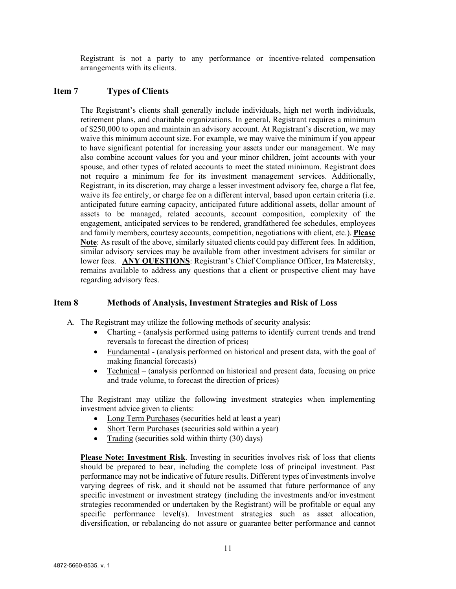Registrant is not a party to any performance or incentive-related compensation arrangements with its clients.

## <span id="page-10-0"></span>**Item 7 Types of Clients**

The Registrant's clients shall generally include individuals, high net worth individuals, retirement plans, and charitable organizations. In general, Registrant requires a minimum of \$250,000 to open and maintain an advisory account. At Registrant's discretion, we may waive this minimum account size. For example, we may waive the minimum if you appear to have significant potential for increasing your assets under our management. We may also combine account values for you and your minor children, joint accounts with your spouse, and other types of related accounts to meet the stated minimum. Registrant does not require a minimum fee for its investment management services. Additionally, Registrant, in its discretion, may charge a lesser investment advisory fee, charge a flat fee, waive its fee entirely, or charge fee on a different interval, based upon certain criteria (i.e. anticipated future earning capacity, anticipated future additional assets, dollar amount of assets to be managed, related accounts, account composition, complexity of the engagement, anticipated services to be rendered, grandfathered fee schedules, employees and family members, courtesy accounts, competition, negotiations with client, etc.). **Please Note**: As result of the above, similarly situated clients could pay different fees. In addition, similar advisory services may be available from other investment advisers for similar or lower fees. **ANY QUESTIONS**: Registrant's Chief Compliance Officer, Ira Materetsky, remains available to address any questions that a client or prospective client may have regarding advisory fees.

# <span id="page-10-1"></span>**Item 8 Methods of Analysis, Investment Strategies and Risk of Loss**

A. The Registrant may utilize the following methods of security analysis:

- Charting (analysis performed using patterns to identify current trends and trend reversals to forecast the direction of prices)
- Fundamental (analysis performed on historical and present data, with the goal of making financial forecasts)
- Technical (analysis performed on historical and present data, focusing on price and trade volume, to forecast the direction of prices)

The Registrant may utilize the following investment strategies when implementing investment advice given to clients:

- Long Term Purchases (securities held at least a year)
- Short Term Purchases (securities sold within a year)
- Trading (securities sold within thirty (30) days)

**Please Note: Investment Risk**. Investing in securities involves risk of loss that clients should be prepared to bear, including the complete loss of principal investment. Past performance may not be indicative of future results. Different types of investments involve varying degrees of risk, and it should not be assumed that future performance of any specific investment or investment strategy (including the investments and/or investment strategies recommended or undertaken by the Registrant) will be profitable or equal any specific performance level(s). Investment strategies such as asset allocation, diversification, or rebalancing do not assure or guarantee better performance and cannot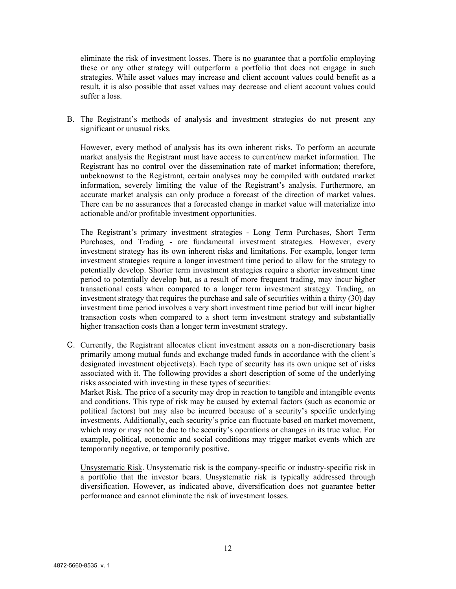eliminate the risk of investment losses. There is no guarantee that a portfolio employing these or any other strategy will outperform a portfolio that does not engage in such strategies. While asset values may increase and client account values could benefit as a result, it is also possible that asset values may decrease and client account values could suffer a loss.

B. The Registrant's methods of analysis and investment strategies do not present any significant or unusual risks.

However, every method of analysis has its own inherent risks. To perform an accurate market analysis the Registrant must have access to current/new market information. The Registrant has no control over the dissemination rate of market information; therefore, unbeknownst to the Registrant, certain analyses may be compiled with outdated market information, severely limiting the value of the Registrant's analysis. Furthermore, an accurate market analysis can only produce a forecast of the direction of market values. There can be no assurances that a forecasted change in market value will materialize into actionable and/or profitable investment opportunities.

The Registrant's primary investment strategies - Long Term Purchases, Short Term Purchases, and Trading - are fundamental investment strategies. However, every investment strategy has its own inherent risks and limitations. For example, longer term investment strategies require a longer investment time period to allow for the strategy to potentially develop. Shorter term investment strategies require a shorter investment time period to potentially develop but, as a result of more frequent trading, may incur higher transactional costs when compared to a longer term investment strategy. Trading, an investment strategy that requires the purchase and sale of securities within a thirty (30) day investment time period involves a very short investment time period but will incur higher transaction costs when compared to a short term investment strategy and substantially higher transaction costs than a longer term investment strategy.

C. Currently, the Registrant allocates client investment assets on a non-discretionary basis primarily among mutual funds and exchange traded funds in accordance with the client's designated investment objective(s). Each type of security has its own unique set of risks associated with it. The following provides a short description of some of the underlying risks associated with investing in these types of securities:

Market Risk. The price of a security may drop in reaction to tangible and intangible events and conditions. This type of risk may be caused by external factors (such as economic or political factors) but may also be incurred because of a security's specific underlying investments. Additionally, each security's price can fluctuate based on market movement, which may or may not be due to the security's operations or changes in its true value. For example, political, economic and social conditions may trigger market events which are temporarily negative, or temporarily positive.

Unsystematic Risk. Unsystematic risk is the company-specific or industry-specific risk in a portfolio that the investor bears. Unsystematic risk is typically addressed through diversification. However, as indicated above, diversification does not guarantee better performance and cannot eliminate the risk of investment losses.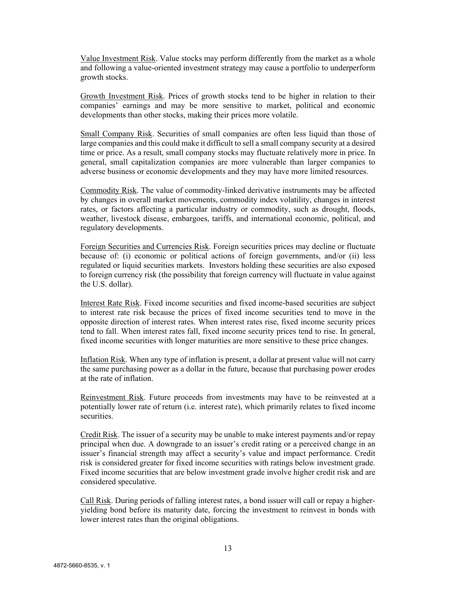Value Investment Risk. Value stocks may perform differently from the market as a whole and following a value-oriented investment strategy may cause a portfolio to underperform growth stocks.

Growth Investment Risk. Prices of growth stocks tend to be higher in relation to their companies' earnings and may be more sensitive to market, political and economic developments than other stocks, making their prices more volatile.

Small Company Risk. Securities of small companies are often less liquid than those of large companies and this could make it difficult to sell a small company security at a desired time or price. As a result, small company stocks may fluctuate relatively more in price. In general, small capitalization companies are more vulnerable than larger companies to adverse business or economic developments and they may have more limited resources.

Commodity Risk. The value of commodity-linked derivative instruments may be affected by changes in overall market movements, commodity index volatility, changes in interest rates, or factors affecting a particular industry or commodity, such as drought, floods, weather, livestock disease, embargoes, tariffs, and international economic, political, and regulatory developments.

Foreign Securities and Currencies Risk. Foreign securities prices may decline or fluctuate because of: (i) economic or political actions of foreign governments, and/or (ii) less regulated or liquid securities markets. Investors holding these securities are also exposed to foreign currency risk (the possibility that foreign currency will fluctuate in value against the U.S. dollar).

Interest Rate Risk. Fixed income securities and fixed income-based securities are subject to interest rate risk because the prices of fixed income securities tend to move in the opposite direction of interest rates. When interest rates rise, fixed income security prices tend to fall. When interest rates fall, fixed income security prices tend to rise. In general, fixed income securities with longer maturities are more sensitive to these price changes.

Inflation Risk. When any type of inflation is present, a dollar at present value will not carry the same purchasing power as a dollar in the future, because that purchasing power erodes at the rate of inflation.

Reinvestment Risk. Future proceeds from investments may have to be reinvested at a potentially lower rate of return (i.e. interest rate), which primarily relates to fixed income securities.

Credit Risk. The issuer of a security may be unable to make interest payments and/or repay principal when due. A downgrade to an issuer's credit rating or a perceived change in an issuer's financial strength may affect a security's value and impact performance. Credit risk is considered greater for fixed income securities with ratings below investment grade. Fixed income securities that are below investment grade involve higher credit risk and are considered speculative.

Call Risk. During periods of falling interest rates, a bond issuer will call or repay a higheryielding bond before its maturity date, forcing the investment to reinvest in bonds with lower interest rates than the original obligations.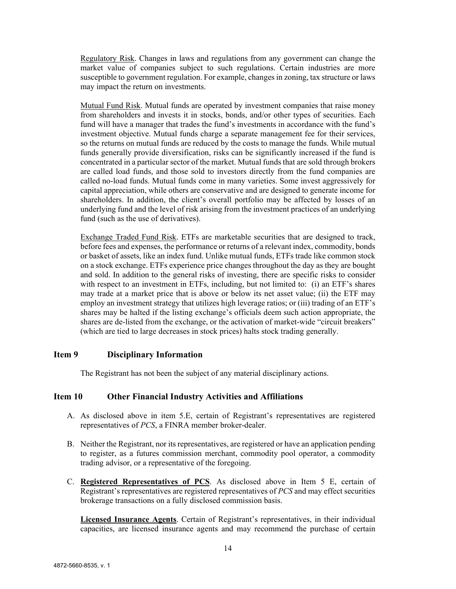Regulatory Risk. Changes in laws and regulations from any government can change the market value of companies subject to such regulations. Certain industries are more susceptible to government regulation. For example, changes in zoning, tax structure or laws may impact the return on investments.

Mutual Fund Risk. Mutual funds are operated by investment companies that raise money from shareholders and invests it in stocks, bonds, and/or other types of securities. Each fund will have a manager that trades the fund's investments in accordance with the fund's investment objective. Mutual funds charge a separate management fee for their services, so the returns on mutual funds are reduced by the costs to manage the funds. While mutual funds generally provide diversification, risks can be significantly increased if the fund is concentrated in a particular sector of the market. Mutual funds that are sold through brokers are called load funds, and those sold to investors directly from the fund companies are called no-load funds. Mutual funds come in many varieties. Some invest aggressively for capital appreciation, while others are conservative and are designed to generate income for shareholders. In addition, the client's overall portfolio may be affected by losses of an underlying fund and the level of risk arising from the investment practices of an underlying fund (such as the use of derivatives).

Exchange Traded Fund Risk. ETFs are marketable securities that are designed to track, before fees and expenses, the performance or returns of a relevant index, commodity, bonds or basket of assets, like an index fund. Unlike mutual funds, ETFs trade like common stock on a stock exchange. ETFs experience price changes throughout the day as they are bought and sold. In addition to the general risks of investing, there are specific risks to consider with respect to an investment in ETFs, including, but not limited to: (i) an ETF's shares may trade at a market price that is above or below its net asset value; (ii) the ETF may employ an investment strategy that utilizes high leverage ratios; or (iii) trading of an ETF's shares may be halted if the listing exchange's officials deem such action appropriate, the shares are de-listed from the exchange, or the activation of market-wide "circuit breakers" (which are tied to large decreases in stock prices) halts stock trading generally.

# <span id="page-13-0"></span>**Item 9 Disciplinary Information**

The Registrant has not been the subject of any material disciplinary actions.

#### <span id="page-13-1"></span>**Item 10 Other Financial Industry Activities and Affiliations**

- A. As disclosed above in item 5.E, certain of Registrant's representatives are registered representatives of *PCS*, a FINRA member broker-dealer.
- B. Neither the Registrant, nor its representatives, are registered or have an application pending to register, as a futures commission merchant, commodity pool operator, a commodity trading advisor, or a representative of the foregoing.
- C. **Registered Representatives of PCS**. As disclosed above in Item 5 E, certain of Registrant's representatives are registered representatives of *PCS* and may effect securities brokerage transactions on a fully disclosed commission basis.

**Licensed Insurance Agents**. Certain of Registrant's representatives, in their individual capacities, are licensed insurance agents and may recommend the purchase of certain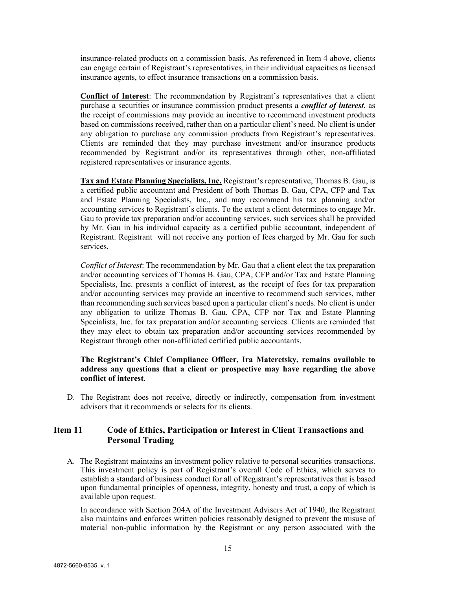insurance-related products on a commission basis. As referenced in Item 4 above, clients can engage certain of Registrant's representatives, in their individual capacities as licensed insurance agents, to effect insurance transactions on a commission basis.

**Conflict of Interest**: The recommendation by Registrant's representatives that a client purchase a securities or insurance commission product presents a *conflict of interest*, as the receipt of commissions may provide an incentive to recommend investment products based on commissions received, rather than on a particular client's need. No client is under any obligation to purchase any commission products from Registrant's representatives. Clients are reminded that they may purchase investment and/or insurance products recommended by Registrant and/or its representatives through other, non-affiliated registered representatives or insurance agents.

**Tax and Estate Planning Specialists, Inc.** Registrant's representative, Thomas B. Gau, is a certified public accountant and President of both Thomas B. Gau, CPA, CFP and Tax and Estate Planning Specialists, Inc., and may recommend his tax planning and/or accounting services to Registrant's clients. To the extent a client determines to engage Mr. Gau to provide tax preparation and/or accounting services, such services shall be provided by Mr. Gau in his individual capacity as a certified public accountant, independent of Registrant. Registrant will not receive any portion of fees charged by Mr. Gau for such services.

*Conflict of Interest*: The recommendation by Mr. Gau that a client elect the tax preparation and/or accounting services of Thomas B. Gau, CPA, CFP and/or Tax and Estate Planning Specialists, Inc. presents a conflict of interest, as the receipt of fees for tax preparation and/or accounting services may provide an incentive to recommend such services, rather than recommending such services based upon a particular client's needs. No client is under any obligation to utilize Thomas B. Gau, CPA, CFP nor Tax and Estate Planning Specialists, Inc. for tax preparation and/or accounting services. Clients are reminded that they may elect to obtain tax preparation and/or accounting services recommended by Registrant through other non-affiliated certified public accountants.

### **The Registrant's Chief Compliance Officer, Ira Materetsky, remains available to address any questions that a client or prospective may have regarding the above conflict of interest**.

D. The Registrant does not receive, directly or indirectly, compensation from investment advisors that it recommends or selects for its clients.

# <span id="page-14-0"></span>**Item 11 Code of Ethics, Participation or Interest in Client Transactions and Personal Trading**

A. The Registrant maintains an investment policy relative to personal securities transactions. This investment policy is part of Registrant's overall Code of Ethics, which serves to establish a standard of business conduct for all of Registrant's representatives that is based upon fundamental principles of openness, integrity, honesty and trust, a copy of which is available upon request.

In accordance with Section 204A of the Investment Advisers Act of 1940, the Registrant also maintains and enforces written policies reasonably designed to prevent the misuse of material non-public information by the Registrant or any person associated with the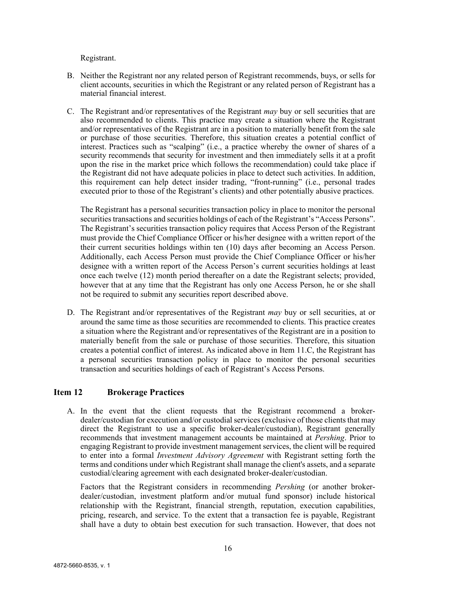Registrant.

- B. Neither the Registrant nor any related person of Registrant recommends, buys, or sells for client accounts, securities in which the Registrant or any related person of Registrant has a material financial interest.
- C. The Registrant and/or representatives of the Registrant *may* buy or sell securities that are also recommended to clients. This practice may create a situation where the Registrant and/or representatives of the Registrant are in a position to materially benefit from the sale or purchase of those securities. Therefore, this situation creates a potential conflict of interest. Practices such as "scalping" (i.e., a practice whereby the owner of shares of a security recommends that security for investment and then immediately sells it at a profit upon the rise in the market price which follows the recommendation) could take place if the Registrant did not have adequate policies in place to detect such activities. In addition, this requirement can help detect insider trading, "front-running" (i.e., personal trades executed prior to those of the Registrant's clients) and other potentially abusive practices.

The Registrant has a personal securities transaction policy in place to monitor the personal securities transactions and securities holdings of each of the Registrant's "Access Persons". The Registrant's securities transaction policy requires that Access Person of the Registrant must provide the Chief Compliance Officer or his/her designee with a written report of the their current securities holdings within ten (10) days after becoming an Access Person. Additionally, each Access Person must provide the Chief Compliance Officer or his/her designee with a written report of the Access Person's current securities holdings at least once each twelve (12) month period thereafter on a date the Registrant selects; provided, however that at any time that the Registrant has only one Access Person, he or she shall not be required to submit any securities report described above.

D. The Registrant and/or representatives of the Registrant *may* buy or sell securities, at or around the same time as those securities are recommended to clients. This practice creates a situation where the Registrant and/or representatives of the Registrant are in a position to materially benefit from the sale or purchase of those securities. Therefore, this situation creates a potential conflict of interest. As indicated above in Item 11.C, the Registrant has a personal securities transaction policy in place to monitor the personal securities transaction and securities holdings of each of Registrant's Access Persons.

# <span id="page-15-0"></span>**Item 12 Brokerage Practices**

A. In the event that the client requests that the Registrant recommend a brokerdealer/custodian for execution and/or custodial services (exclusive of those clients that may direct the Registrant to use a specific broker-dealer/custodian), Registrant generally recommends that investment management accounts be maintained at *Pershing*. Prior to engaging Registrant to provide investment management services, the client will be required to enter into a formal *Investment Advisory Agreement* with Registrant setting forth the terms and conditions under which Registrant shall manage the client's assets, and a separate custodial/clearing agreement with each designated broker-dealer/custodian.

Factors that the Registrant considers in recommending *Pershing* (or another brokerdealer/custodian, investment platform and/or mutual fund sponsor) include historical relationship with the Registrant, financial strength, reputation, execution capabilities, pricing, research, and service. To the extent that a transaction fee is payable, Registrant shall have a duty to obtain best execution for such transaction. However, that does not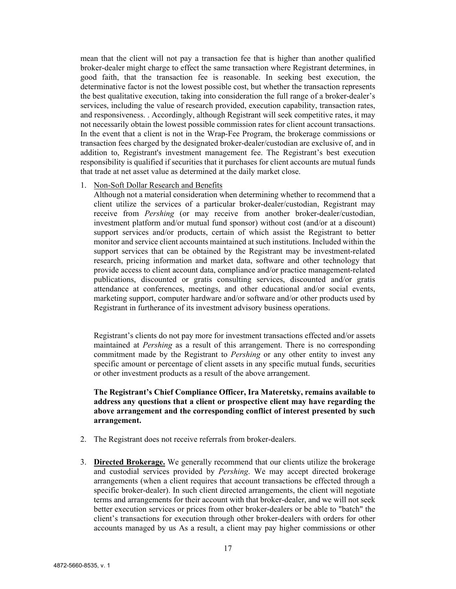mean that the client will not pay a transaction fee that is higher than another qualified broker-dealer might charge to effect the same transaction where Registrant determines, in good faith, that the transaction fee is reasonable. In seeking best execution, the determinative factor is not the lowest possible cost, but whether the transaction represents the best qualitative execution, taking into consideration the full range of a broker-dealer's services, including the value of research provided, execution capability, transaction rates, and responsiveness. . Accordingly, although Registrant will seek competitive rates, it may not necessarily obtain the lowest possible commission rates for client account transactions. In the event that a client is not in the Wrap-Fee Program, the brokerage commissions or transaction fees charged by the designated broker-dealer/custodian are exclusive of, and in addition to, Registrant's investment management fee. The Registrant's best execution responsibility is qualified if securities that it purchases for client accounts are mutual funds that trade at net asset value as determined at the daily market close.

1. Non-Soft Dollar Research and Benefits

Although not a material consideration when determining whether to recommend that a client utilize the services of a particular broker-dealer/custodian, Registrant may receive from *Pershing* (or may receive from another broker-dealer/custodian, investment platform and/or mutual fund sponsor) without cost (and/or at a discount) support services and/or products, certain of which assist the Registrant to better monitor and service client accounts maintained at such institutions. Included within the support services that can be obtained by the Registrant may be investment-related research, pricing information and market data, software and other technology that provide access to client account data, compliance and/or practice management-related publications, discounted or gratis consulting services, discounted and/or gratis attendance at conferences, meetings, and other educational and/or social events, marketing support, computer hardware and/or software and/or other products used by Registrant in furtherance of its investment advisory business operations.

Registrant's clients do not pay more for investment transactions effected and/or assets maintained at *Pershing* as a result of this arrangement. There is no corresponding commitment made by the Registrant to *Pershing* or any other entity to invest any specific amount or percentage of client assets in any specific mutual funds, securities or other investment products as a result of the above arrangement.

**The Registrant's Chief Compliance Officer, Ira Materetsky, remains available to address any questions that a client or prospective client may have regarding the above arrangement and the corresponding conflict of interest presented by such arrangement.** 

- 2. The Registrant does not receive referrals from broker-dealers.
- 3. **Directed Brokerage.** We generally recommend that our clients utilize the brokerage and custodial services provided by *Pershing*. We may accept directed brokerage arrangements (when a client requires that account transactions be effected through a specific broker-dealer). In such client directed arrangements, the client will negotiate terms and arrangements for their account with that broker-dealer, and we will not seek better execution services or prices from other broker-dealers or be able to "batch" the client's transactions for execution through other broker-dealers with orders for other accounts managed by us As a result, a client may pay higher commissions or other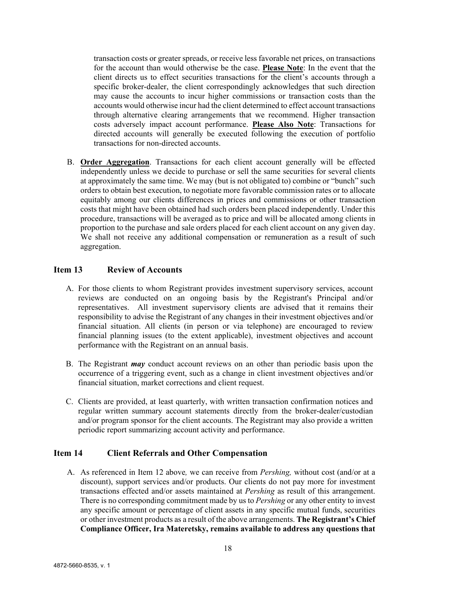transaction costs or greater spreads, or receive less favorable net prices, on transactions for the account than would otherwise be the case. **Please Note**: In the event that the client directs us to effect securities transactions for the client's accounts through a specific broker-dealer, the client correspondingly acknowledges that such direction may cause the accounts to incur higher commissions or transaction costs than the accounts would otherwise incur had the client determined to effect account transactions through alternative clearing arrangements that we recommend. Higher transaction costs adversely impact account performance. **Please Also Note**: Transactions for directed accounts will generally be executed following the execution of portfolio transactions for non-directed accounts.

B. **Order Aggregation**. Transactions for each client account generally will be effected independently unless we decide to purchase or sell the same securities for several clients at approximately the same time. We may (but is not obligated to) combine or "bunch" such orders to obtain best execution, to negotiate more favorable commission rates or to allocate equitably among our clients differences in prices and commissions or other transaction costs that might have been obtained had such orders been placed independently. Under this procedure, transactions will be averaged as to price and will be allocated among clients in proportion to the purchase and sale orders placed for each client account on any given day. We shall not receive any additional compensation or remuneration as a result of such aggregation.

# <span id="page-17-0"></span>**Item 13 Review of Accounts**

- A. For those clients to whom Registrant provides investment supervisory services, account reviews are conducted on an ongoing basis by the Registrant's Principal and/or representatives. All investment supervisory clients are advised that it remains their responsibility to advise the Registrant of any changes in their investment objectives and/or financial situation. All clients (in person or via telephone) are encouraged to review financial planning issues (to the extent applicable), investment objectives and account performance with the Registrant on an annual basis.
- B. The Registrant *may* conduct account reviews on an other than periodic basis upon the occurrence of a triggering event, such as a change in client investment objectives and/or financial situation, market corrections and client request.
- C. Clients are provided, at least quarterly, with written transaction confirmation notices and regular written summary account statements directly from the broker-dealer/custodian and/or program sponsor for the client accounts. The Registrant may also provide a written periodic report summarizing account activity and performance.

#### <span id="page-17-1"></span>**Item 14 Client Referrals and Other Compensation**

A. As referenced in Item 12 above*,* we can receive from *Pershing,* without cost (and/or at a discount), support services and/or products. Our clients do not pay more for investment transactions effected and/or assets maintained at *Pershing* as result of this arrangement. There is no corresponding commitment made by us to *Pershing* or any other entity to invest any specific amount or percentage of client assets in any specific mutual funds, securities or other investment products as a result of the above arrangements. **The Registrant's Chief Compliance Officer, Ira Materetsky, remains available to address any questions that**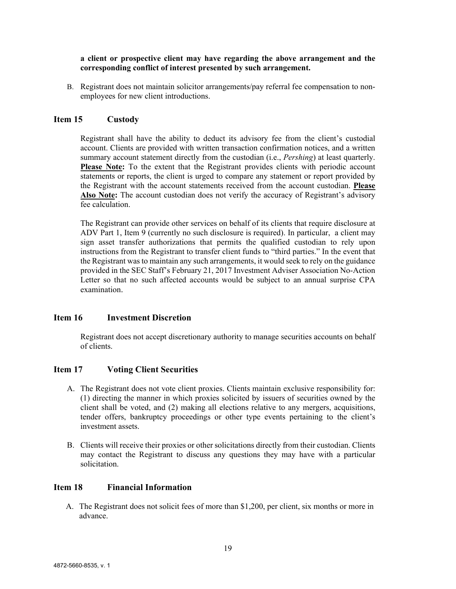#### **a client or prospective client may have regarding the above arrangement and the corresponding conflict of interest presented by such arrangement.**

B. Registrant does not maintain solicitor arrangements/pay referral fee compensation to nonemployees for new client introductions.

### <span id="page-18-0"></span>**Item 15 Custody**

Registrant shall have the ability to deduct its advisory fee from the client's custodial account. Clients are provided with written transaction confirmation notices, and a written summary account statement directly from the custodian (i.e., *Pershing*) at least quarterly. **Please Note:** To the extent that the Registrant provides clients with periodic account statements or reports, the client is urged to compare any statement or report provided by the Registrant with the account statements received from the account custodian. **Please Also Note:** The account custodian does not verify the accuracy of Registrant's advisory fee calculation.

The Registrant can provide other services on behalf of its clients that require disclosure at ADV Part 1, Item 9 (currently no such disclosure is required). In particular, a client may sign asset transfer authorizations that permits the qualified custodian to rely upon instructions from the Registrant to transfer client funds to "third parties." In the event that the Registrant was to maintain any such arrangements, it would seek to rely on the guidance provided in the SEC Staff's February 21, 2017 Investment Adviser Association No-Action Letter so that no such affected accounts would be subject to an annual surprise CPA examination.

#### <span id="page-18-1"></span>**Item 16 Investment Discretion**

Registrant does not accept discretionary authority to manage securities accounts on behalf of clients.

#### <span id="page-18-2"></span>**Item 17 Voting Client Securities**

- A. The Registrant does not vote client proxies. Clients maintain exclusive responsibility for: (1) directing the manner in which proxies solicited by issuers of securities owned by the client shall be voted, and (2) making all elections relative to any mergers, acquisitions, tender offers, bankruptcy proceedings or other type events pertaining to the client's investment assets.
- B. Clients will receive their proxies or other solicitations directly from their custodian. Clients may contact the Registrant to discuss any questions they may have with a particular solicitation.

### <span id="page-18-3"></span>**Item 18 Financial Information**

A. The Registrant does not solicit fees of more than \$1,200, per client, six months or more in advance.